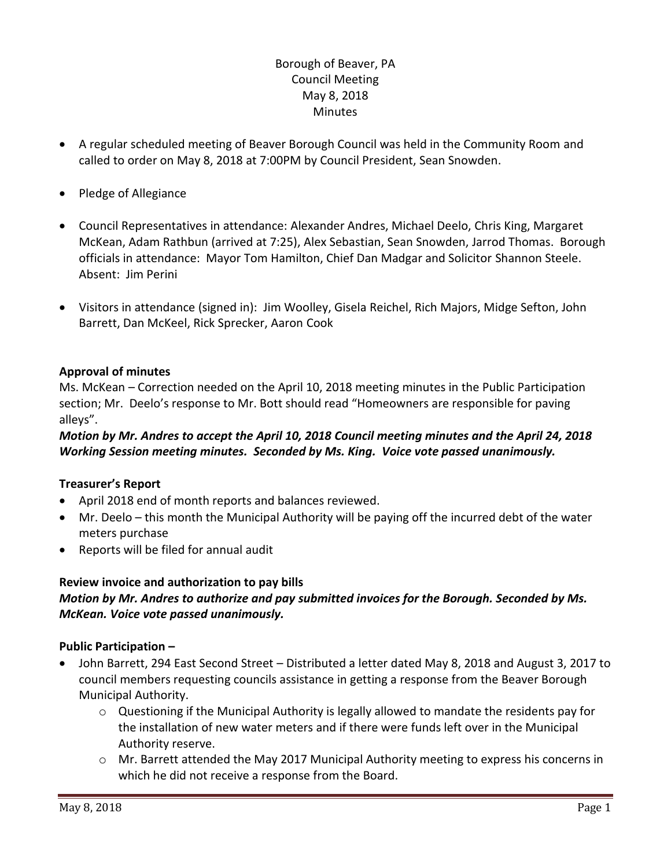### Borough of Beaver, PA Council Meeting May 8, 2018 **Minutes**

- A regular scheduled meeting of Beaver Borough Council was held in the Community Room and called to order on May 8, 2018 at 7:00PM by Council President, Sean Snowden.
- Pledge of Allegiance
- Council Representatives in attendance: Alexander Andres, Michael Deelo, Chris King, Margaret McKean, Adam Rathbun (arrived at 7:25), Alex Sebastian, Sean Snowden, Jarrod Thomas. Borough officials in attendance: Mayor Tom Hamilton, Chief Dan Madgar and Solicitor Shannon Steele. Absent: Jim Perini
- Visitors in attendance (signed in): Jim Woolley, Gisela Reichel, Rich Majors, Midge Sefton, John Barrett, Dan McKeel, Rick Sprecker, Aaron Cook

### **Approval of minutes**

Ms. McKean – Correction needed on the April 10, 2018 meeting minutes in the Public Participation section; Mr. Deelo's response to Mr. Bott should read "Homeowners are responsible for paving alleys".

### *Motion by Mr. Andres to accept the April 10, 2018 Council meeting minutes and the April 24, 2018 Working Session meeting minutes. Seconded by Ms. King. Voice vote passed unanimously.*

### **Treasurer's Report**

- April 2018 end of month reports and balances reviewed.
- Mr. Deelo this month the Municipal Authority will be paying off the incurred debt of the water meters purchase
- Reports will be filed for annual audit

### **Review invoice and authorization to pay bills**

### *Motion by Mr. Andres to authorize and pay submitted invoices for the Borough. Seconded by Ms. McKean. Voice vote passed unanimously.*

### **Public Participation –**

- John Barrett, 294 East Second Street Distributed a letter dated May 8, 2018 and August 3, 2017 to council members requesting councils assistance in getting a response from the Beaver Borough Municipal Authority.
	- $\circ$  Questioning if the Municipal Authority is legally allowed to mandate the residents pay for the installation of new water meters and if there were funds left over in the Municipal Authority reserve.
	- o Mr. Barrett attended the May 2017 Municipal Authority meeting to express his concerns in which he did not receive a response from the Board.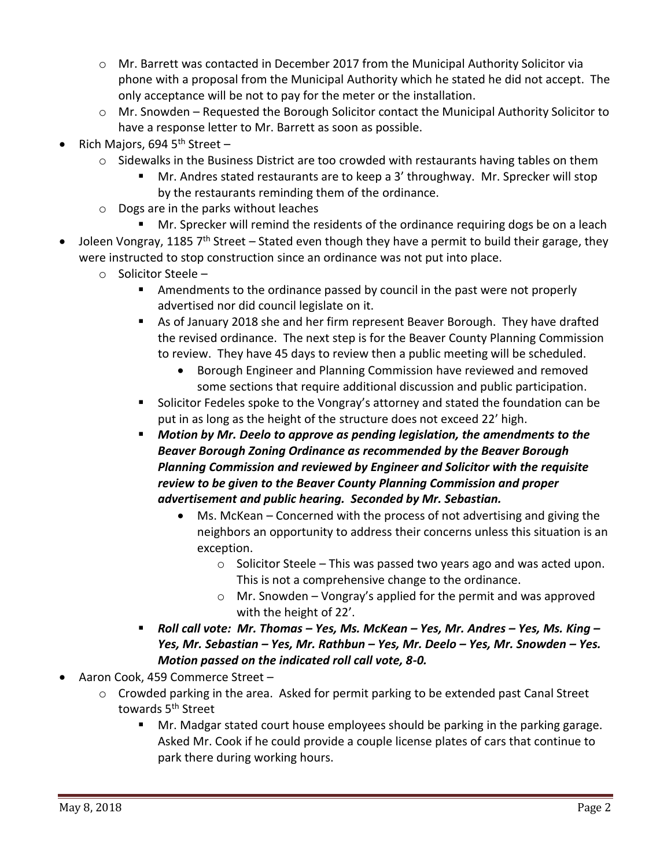- $\circ$  Mr. Barrett was contacted in December 2017 from the Municipal Authority Solicitor via phone with a proposal from the Municipal Authority which he stated he did not accept. The only acceptance will be not to pay for the meter or the installation.
- $\circ$  Mr. Snowden Requested the Borough Solicitor contact the Municipal Authority Solicitor to have a response letter to Mr. Barrett as soon as possible.
- Rich Majors, 694  $5<sup>th</sup>$  Street
	- $\circ$  Sidewalks in the Business District are too crowded with restaurants having tables on them
		- Mr. Andres stated restaurants are to keep a 3' throughway. Mr. Sprecker will stop by the restaurants reminding them of the ordinance.
	- o Dogs are in the parks without leaches
- Mr. Sprecker will remind the residents of the ordinance requiring dogs be on a leach Joleen Vongray, 1185  $7<sup>th</sup>$  Street – Stated even though they have a permit to build their garage, they were instructed to stop construction since an ordinance was not put into place.
	- o Solicitor Steele
		- **EXE** Amendments to the ordinance passed by council in the past were not properly advertised nor did council legislate on it.
		- As of January 2018 she and her firm represent Beaver Borough. They have drafted the revised ordinance. The next step is for the Beaver County Planning Commission to review. They have 45 days to review then a public meeting will be scheduled.
			- Borough Engineer and Planning Commission have reviewed and removed some sections that require additional discussion and public participation.
		- Solicitor Fedeles spoke to the Vongray's attorney and stated the foundation can be put in as long as the height of the structure does not exceed 22' high.
		- *Motion by Mr. Deelo to approve as pending legislation, the amendments to the Beaver Borough Zoning Ordinance as recommended by the Beaver Borough Planning Commission and reviewed by Engineer and Solicitor with the requisite review to be given to the Beaver County Planning Commission and proper advertisement and public hearing. Seconded by Mr. Sebastian.*
			- Ms. McKean Concerned with the process of not advertising and giving the neighbors an opportunity to address their concerns unless this situation is an exception.
				- $\circ$  Solicitor Steele This was passed two years ago and was acted upon. This is not a comprehensive change to the ordinance.
				- o Mr. Snowden Vongray's applied for the permit and was approved with the height of 22'.
		- *Roll call vote: Mr. Thomas – Yes, Ms. McKean – Yes, Mr. Andres – Yes, Ms. King – Yes, Mr. Sebastian – Yes, Mr. Rathbun – Yes, Mr. Deelo – Yes, Mr. Snowden – Yes. Motion passed on the indicated roll call vote, 8-0.*
- Aaron Cook, 459 Commerce Street
	- o Crowded parking in the area. Asked for permit parking to be extended past Canal Street towards 5<sup>th</sup> Street
		- Mr. Madgar stated court house employees should be parking in the parking garage. Asked Mr. Cook if he could provide a couple license plates of cars that continue to park there during working hours.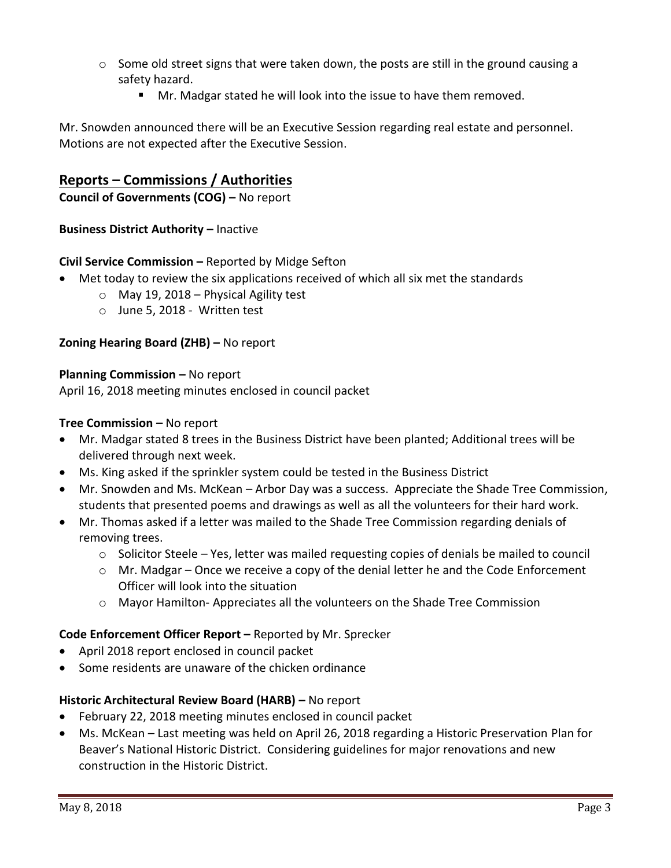- $\circ$  Some old street signs that were taken down, the posts are still in the ground causing a safety hazard.
	- Mr. Madgar stated he will look into the issue to have them removed.

Mr. Snowden announced there will be an Executive Session regarding real estate and personnel. Motions are not expected after the Executive Session.

## **Reports – Commissions / Authorities**

**Council of Governments (COG) –** No report

**Business District Authority - Inactive** 

### **Civil Service Commission –** Reported by Midge Sefton

- Met today to review the six applications received of which all six met the standards
	- $\circ$  May 19, 2018 Physical Agility test
	- o June 5, 2018 Written test

### **Zoning Hearing Board (ZHB) –** No report

### **Planning Commission – No report**

April 16, 2018 meeting minutes enclosed in council packet

### **Tree Commission –** No report

- Mr. Madgar stated 8 trees in the Business District have been planted; Additional trees will be delivered through next week.
- Ms. King asked if the sprinkler system could be tested in the Business District
- Mr. Snowden and Ms. McKean Arbor Day was a success. Appreciate the Shade Tree Commission, students that presented poems and drawings as well as all the volunteers for their hard work.
- Mr. Thomas asked if a letter was mailed to the Shade Tree Commission regarding denials of removing trees.
	- o Solicitor Steele Yes, letter was mailed requesting copies of denials be mailed to council
	- $\circ$  Mr. Madgar Once we receive a copy of the denial letter he and the Code Enforcement Officer will look into the situation
	- o Mayor Hamilton- Appreciates all the volunteers on the Shade Tree Commission

### **Code Enforcement Officer Report –** Reported by Mr. Sprecker

- April 2018 report enclosed in council packet
- Some residents are unaware of the chicken ordinance

### **Historic Architectural Review Board (HARB) –** No report

- February 22, 2018 meeting minutes enclosed in council packet
- Ms. McKean Last meeting was held on April 26, 2018 regarding a Historic Preservation Plan for Beaver's National Historic District. Considering guidelines for major renovations and new construction in the Historic District.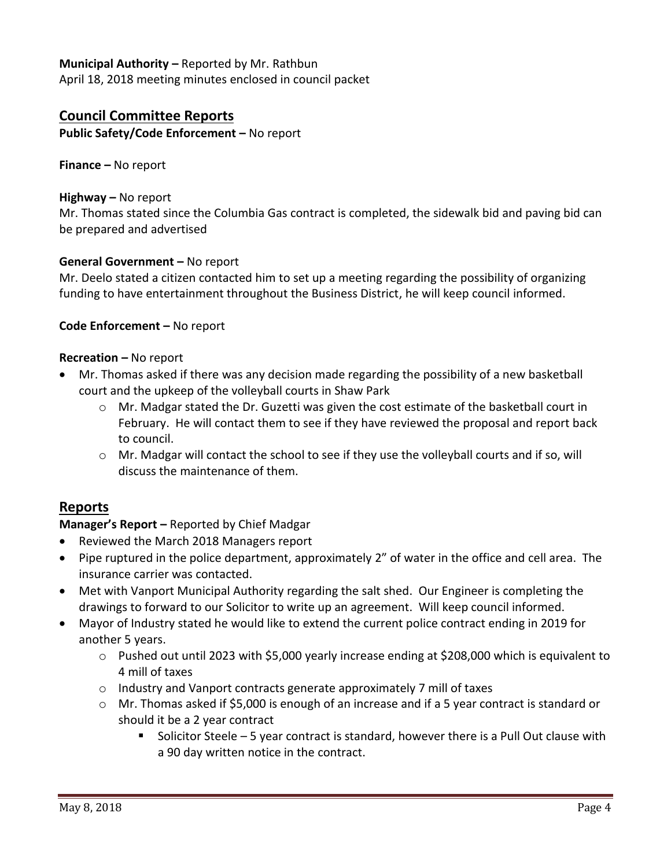# **Municipal Authority –** Reported by Mr. Rathbun

April 18, 2018 meeting minutes enclosed in council packet

### **Council Committee Reports**

**Public Safety/Code Enforcement –** No report

**Finance –** No report

#### **Highway –** No report

Mr. Thomas stated since the Columbia Gas contract is completed, the sidewalk bid and paving bid can be prepared and advertised

### **General Government –** No report

Mr. Deelo stated a citizen contacted him to set up a meeting regarding the possibility of organizing funding to have entertainment throughout the Business District, he will keep council informed.

#### **Code Enforcement –** No report

#### **Recreation –** No report

- Mr. Thomas asked if there was any decision made regarding the possibility of a new basketball court and the upkeep of the volleyball courts in Shaw Park
	- $\circ$  Mr. Madgar stated the Dr. Guzetti was given the cost estimate of the basketball court in February. He will contact them to see if they have reviewed the proposal and report back to council.
	- o Mr. Madgar will contact the school to see if they use the volleyball courts and if so, will discuss the maintenance of them.

### **Reports**

### **Manager's Report –** Reported by Chief Madgar

- Reviewed the March 2018 Managers report
- Pipe ruptured in the police department, approximately 2" of water in the office and cell area. The insurance carrier was contacted.
- Met with Vanport Municipal Authority regarding the salt shed. Our Engineer is completing the drawings to forward to our Solicitor to write up an agreement. Will keep council informed.
- Mayor of Industry stated he would like to extend the current police contract ending in 2019 for another 5 years.
	- $\circ$  Pushed out until 2023 with \$5,000 yearly increase ending at \$208,000 which is equivalent to 4 mill of taxes
	- $\circ$  Industry and Vanport contracts generate approximately 7 mill of taxes
	- o Mr. Thomas asked if \$5,000 is enough of an increase and if a 5 year contract is standard or should it be a 2 year contract
		- Solicitor Steele  $-5$  year contract is standard, however there is a Pull Out clause with a 90 day written notice in the contract.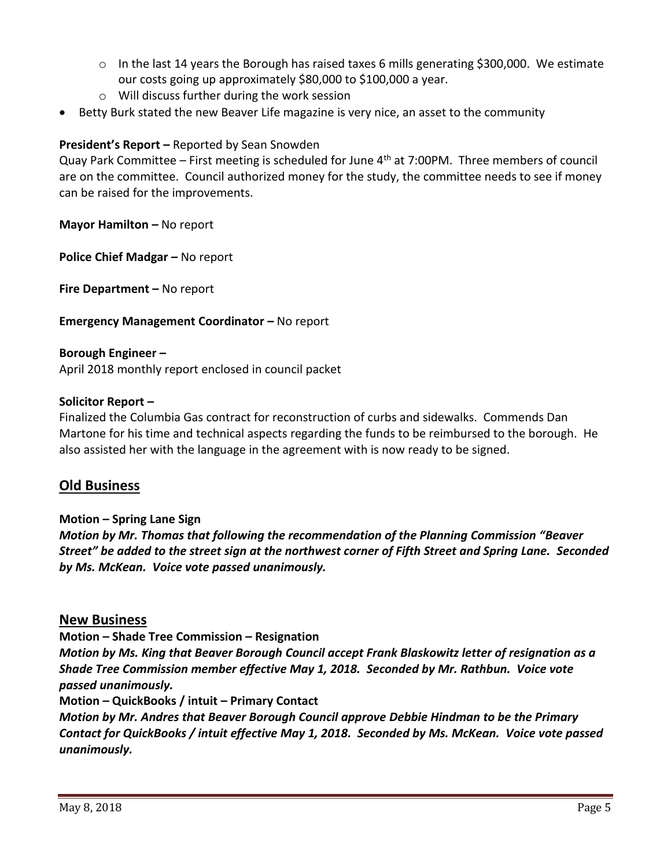- $\circ$  In the last 14 years the Borough has raised taxes 6 mills generating \$300,000. We estimate our costs going up approximately \$80,000 to \$100,000 a year.
- o Will discuss further during the work session
- Betty Burk stated the new Beaver Life magazine is very nice, an asset to the community

### **President's Report –** Reported by Sean Snowden

Quay Park Committee – First meeting is scheduled for June  $4<sup>th</sup>$  at 7:00PM. Three members of council are on the committee. Council authorized money for the study, the committee needs to see if money can be raised for the improvements.

**Mayor Hamilton –** No report

**Police Chief Madgar –** No report

**Fire Department –** No report

### **Emergency Management Coordinator - No report**

**Borough Engineer –** April 2018 monthly report enclosed in council packet

#### **Solicitor Report –**

Finalized the Columbia Gas contract for reconstruction of curbs and sidewalks. Commends Dan Martone for his time and technical aspects regarding the funds to be reimbursed to the borough. He also assisted her with the language in the agreement with is now ready to be signed.

### **Old Business**

**Motion – Spring Lane Sign**

*Motion by Mr. Thomas that following the recommendation of the Planning Commission "Beaver Street" be added to the street sign at the northwest corner of Fifth Street and Spring Lane. Seconded by Ms. McKean. Voice vote passed unanimously.*

### **New Business**

**Motion – Shade Tree Commission – Resignation** 

*Motion by Ms. King that Beaver Borough Council accept Frank Blaskowitz letter of resignation as a Shade Tree Commission member effective May 1, 2018. Seconded by Mr. Rathbun. Voice vote passed unanimously.*

**Motion – QuickBooks / intuit – Primary Contact**

*Motion by Mr. Andres that Beaver Borough Council approve Debbie Hindman to be the Primary Contact for QuickBooks / intuit effective May 1, 2018. Seconded by Ms. McKean. Voice vote passed unanimously.*